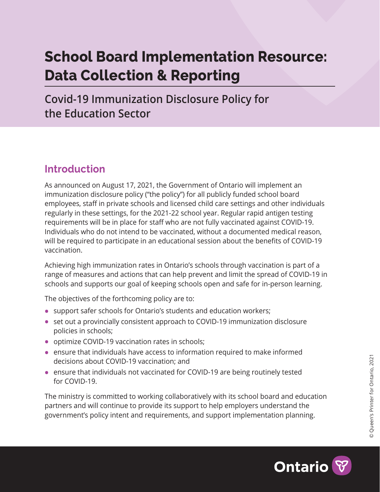# **School Board Implementation Resource: Data Collection & Reporting**

**Covid-19 Immunization Disclosure Policy for the Education Sector**

### **Introduction**

As announced on August 17, 2021, the Government of Ontario will implement an immunization disclosure policy ("the policy") for all publicly funded school board employees, staff in private schools and licensed child care settings and other individuals regularly in these settings, for the 2021-22 school year. Regular rapid antigen testing requirements will be in place for staff who are not fully vaccinated against COVID-19. Individuals who do not intend to be vaccinated, without a documented medical reason, will be required to participate in an educational session about the benefits of COVID-19 vaccination.

Achieving high immunization rates in Ontario's schools through vaccination is part of a range of measures and actions that can help prevent and limit the spread of COVID-19 in schools and supports our goal of keeping schools open and safe for in-person learning.

The objectives of the forthcoming policy are to:

- **•** support safer schools for Ontario's students and education workers;
- **•** set out a provincially consistent approach to COVID-19 immunization disclosure policies in schools;
- **•** optimize COVID-19 vaccination rates in schools;
- **•** ensure that individuals have access to information required to make informed decisions about COVID-19 vaccination; and
- **•** ensure that individuals not vaccinated for COVID-19 are being routinely tested for COVID-19.

The ministry is committed to working collaboratively with its school board and education partners and will continue to provide its support to help employers understand the government's policy intent and requirements, and support implementation planning.

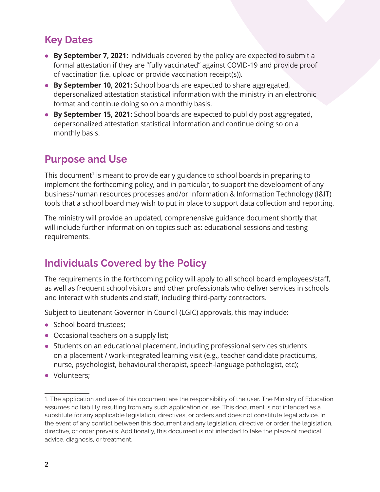#### **Key Dates**

- **• By September 7, 2021:** Individuals covered by the policy are expected to submit a formal attestation if they are "fully vaccinated" against COVID-19 and provide proof of vaccination (i.e. upload or provide vaccination receipt(s)).
- **• By September 10, 2021:** School boards are expected to share aggregated, depersonalized attestation statistical information with the ministry in an electronic format and continue doing so on a monthly basis.
- **• By September 15, 2021:** School boards are expected to publicly post aggregated, depersonalized attestation statistical information and continue doing so on a monthly basis.

#### **Purpose and Use**

This document<sup>1</sup> is meant to provide early guidance to school boards in preparing to implement the forthcoming policy, and in particular, to support the development of any business/human resources processes and/or Information & Information Technology (I&IT) tools that a school board may wish to put in place to support data collection and reporting.

The ministry will provide an updated, comprehensive guidance document shortly that will include further information on topics such as: educational sessions and testing requirements.

## **Individuals Covered by the Policy**

The requirements in the forthcoming policy will apply to all school board employees/staff, as well as frequent school visitors and other professionals who deliver services in schools and interact with students and staff, including third-party contractors.

Subject to Lieutenant Governor in Council (LGIC) approvals, this may include:

- **•** School board trustees;
- **•** Occasional teachers on a supply list;
- **•** Students on an educational placement, including professional services students on a placement / work-integrated learning visit (e.g., teacher candidate practicums, nurse, psychologist, behavioural therapist, speech-language pathologist, etc);
- **•** Volunteers;

<sup>1.</sup> The application and use of this document are the responsibility of the user. The Ministry of Education assumes no liability resulting from any such application or use. This document is not intended as a substitute for any applicable legislation, directives, or orders and does not constitute legal advice. In the event of any conflict between this document and any legislation, directive, or order, the legislation, directive, or order prevails. Additionally, this document is not intended to take the place of medical advice, diagnosis, or treatment.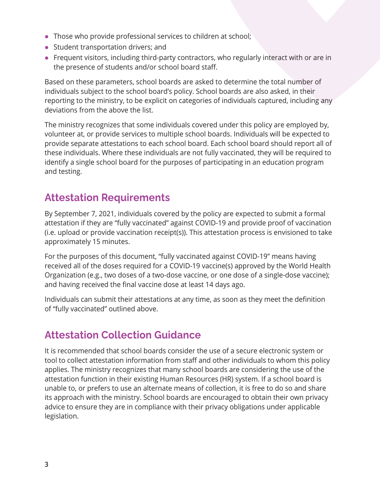- **•** Those who provide professional services to children at school;
- **•** Student transportation drivers; and
- **•** Frequent visitors, including third-party contractors, who regularly interact with or are in the presence of students and/or school board staff.

Based on these parameters, school boards are asked to determine the total number of individuals subject to the school board's policy. School boards are also asked, in their reporting to the ministry, to be explicit on categories of individuals captured, including any deviations from the above the list.

The ministry recognizes that some individuals covered under this policy are employed by, volunteer at, or provide services to multiple school boards. Individuals will be expected to provide separate attestations to each school board. Each school board should report all of these individuals. Where these individuals are not fully vaccinated, they will be required to identify a single school board for the purposes of participating in an education program and testing.

#### **Attestation Requirements**

By September 7, 2021, individuals covered by the policy are expected to submit a formal attestation if they are "fully vaccinated" against COVID-19 and provide proof of vaccination (i.e. upload or provide vaccination receipt(s)). This attestation process is envisioned to take approximately 15 minutes.

For the purposes of this document, "fully vaccinated against COVID-19" means having received all of the doses required for a COVID-19 vaccine(s) approved by the World Health Organization (e.g., two doses of a two-dose vaccine, or one dose of a single-dose vaccine); and having received the final vaccine dose at least 14 days ago.

Individuals can submit their attestations at any time, as soon as they meet the definition of "fully vaccinated" outlined above.

### **Attestation Collection Guidance**

It is recommended that school boards consider the use of a secure electronic system or tool to collect attestation information from staff and other individuals to whom this policy applies. The ministry recognizes that many school boards are considering the use of the attestation function in their existing Human Resources (HR) system. If a school board is unable to, or prefers to use an alternate means of collection, it is free to do so and share its approach with the ministry. School boards are encouraged to obtain their own privacy advice to ensure they are in compliance with their privacy obligations under applicable legislation.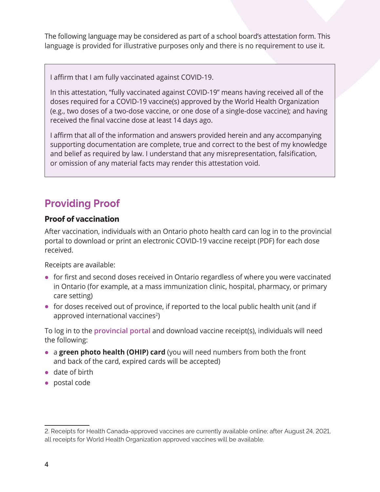The following language may be considered as part of a school board's attestation form. This language is provided for illustrative purposes only and there is no requirement to use it.

I affirm that I am fully vaccinated against COVID-19.

In this attestation, "fully vaccinated against COVID-19" means having received all of the doses required for a COVID-19 vaccine(s) approved by the World Health Organization (e.g., two doses of a two-dose vaccine, or one dose of a single-dose vaccine); and having received the final vaccine dose at least 14 days ago.

I affirm that all of the information and answers provided herein and any accompanying supporting documentation are complete, true and correct to the best of my knowledge and belief as required by law. I understand that any misrepresentation, falsification, or omission of any material facts may render this attestation void.

### **Providing Proof**

#### **Proof of vaccination**

After vaccination, individuals with an Ontario photo health card can log in to the provincial portal to download or print an electronic COVID-19 vaccine receipt (PDF) for each dose received.

Receipts are available:

- **•** for first and second doses received in Ontario regardless of where you were vaccinated in Ontario (for example, at a mass immunization clinic, hospital, pharmacy, or primary care setting)
- **•** for doses received out of province, if reported to the local public health unit (and if approved international vaccines<sup>2</sup>)

To log in to the **[provincial portal](https://covid19.ontariohealth.ca/)** and download vaccine receipt(s), individuals will need the following:

- **•** <sup>a</sup>**green photo health (OHIP) card** (you will need numbers from both the front and back of the card, expired cards will be accepted)
- **•** date of birth
- **•** postal code

<sup>2.</sup> Receipts for Health Canada-approved vaccines are currently available online; after August 24, 2021, all receipts for World Health Organization approved vaccines will be available.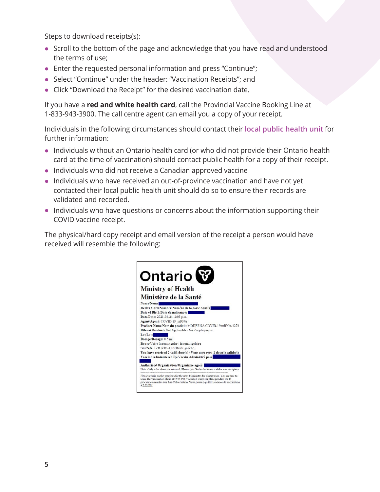Steps to download receipts(s):

- **•** Scroll to the bottom of the page and acknowledge that you have read and understood the terms of use;
- **•** Enter the requested personal information and press "Continue";
- **•** Select "Continue" under the header: "Vaccination Receipts"; and
- **•** Click "Download the Receipt" for the desired vaccination date.

If you have a **red and white health card**, call the Provincial Vaccine Booking Line at 1-833-943-3900. The call centre agent can email you a copy of your receipt.

Individuals in the following circumstances should contact their **[local public health unit](https://www.health.gov.on.ca/en/common/system/services/phu/locations.aspx)** for further information:

- **•** Individuals without an Ontario health card (or who did not provide their Ontario health card at the time of vaccination) should contact public health for a copy of their receipt.
- **•** Individuals who did not receive a Canadian approved vaccine
- **•** Individuals who have received an out-of-province vaccination and have not yet contacted their local public health unit should do so to ensure their records are validated and recorded.
- **•** Individuals who have questions or concerns about the information supporting their COVID vaccine receipt.

The physical/hard copy receipt and email version of the receipt a person would have received will resemble the following:

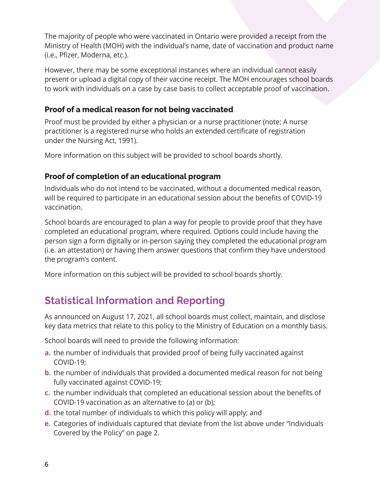The majority of people who were vaccinated in Ontario were provided a receipt from the Ministry of Health (MOH) with the individual's name, date of vaccination and product name (i.e., Pfizer, Moderna, etc.).

However, there may be some exceptional instances where an individual cannot easily present or upload a digital copy of their vaccine receipt. The MOH encourages school boards to work with individuals on a case by case basis to collect acceptable proof of vaccination.

#### **Proof of a medical reason for not being vaccinated**

Proof must be provided by either a physician or a nurse practitioner (note: A nurse practitioner is a registered nurse who holds an extended certificate of registration under the Nursing Act, 1991).

More information on this subject will be provided to school boards shortly.

#### **Proof of completion of an educational program**

Individuals who do not intend to be vaccinated, without a documented medical reason, will be required to participate in an educational session about the benefits of COVID-19 vaccination.

School boards are encouraged to plan a way for people to provide proof that they have completed an educational program, where required. Options could include having the person sign a form digitally or in-person saying they completed the educational program (i.e. an attestation) or having them answer questions that confirm they have understood the program's content.

More information on this subject will be provided to school boards shortly.

### **Statistical Information and Reporting**

As announced on August 17, 2021, all school boards must collect, maintain, and disclose key data metrics that relate to this policy to the Ministry of Education on a monthly basis.

School boards will need to provide the following information:

- **a.** the number of individuals that provided proof of being fully vaccinated against COVID-19;
- **b.** the number of individuals that provided a documented medical reason for not being fully vaccinated against COVID-19;
- **c.** the number individuals that completed an educational session about the benefits of COVID-19 vaccination as an alternative to (a) or (b);
- **d.** the total number of individuals to which this policy will apply; and
- **e.** Categories of individuals captured that deviate from the list above under "Individuals Covered by the Policy" on page 2.